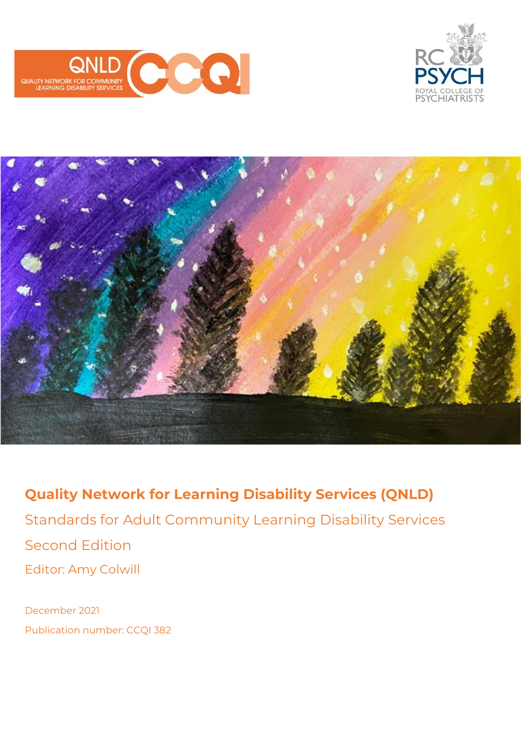





**Quality Network for Learning Disability Services (QNLD)** Standards for Adult Community Learning Disability Services Second Edition Editor: Amy Colwill

December 2021 Publication number: CCQI 382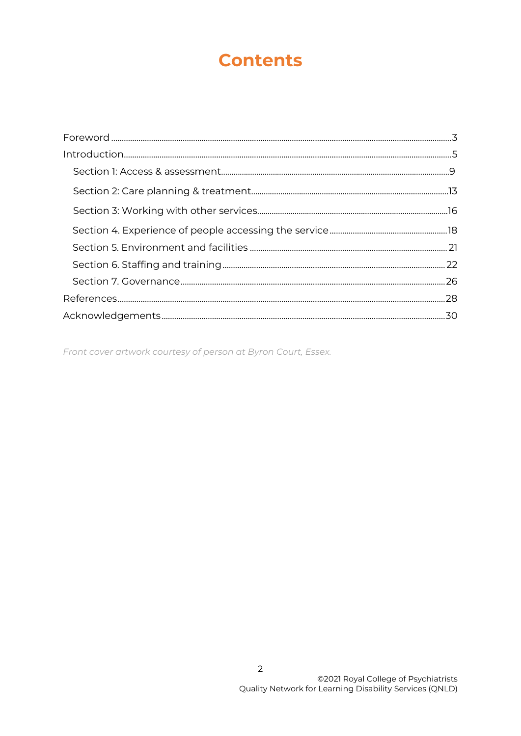## **Contents**

Front cover artwork courtesy of person at Byron Court, Essex.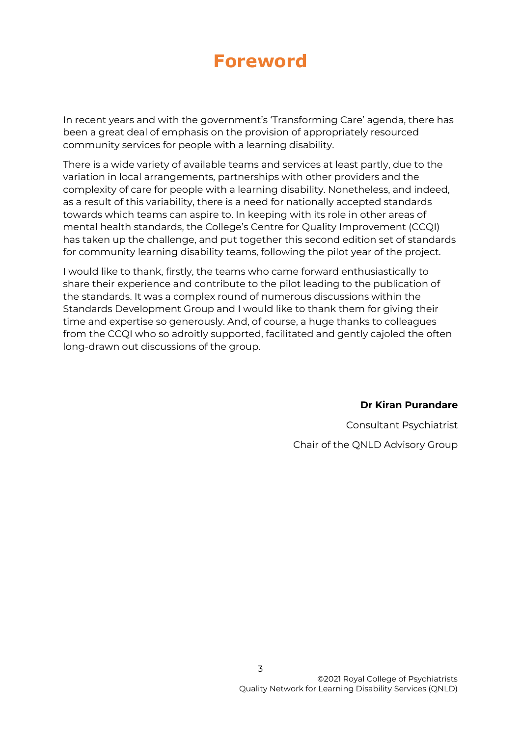## **Foreword**

<span id="page-2-0"></span>In recent years and with the government's 'Transforming Care' agenda, there has been a great deal of emphasis on the provision of appropriately resourced community services for people with a learning disability.

There is a wide variety of available teams and services at least partly, due to the variation in local arrangements, partnerships with other providers and the complexity of care for people with a learning disability. Nonetheless, and indeed, as a result of this variability, there is a need for nationally accepted standards towards which teams can aspire to. In keeping with its role in other areas of mental health standards, the College's Centre for Quality Improvement (CCQI) has taken up the challenge, and put together this second edition set of standards for community learning disability teams, following the pilot year of the project.

I would like to thank, firstly, the teams who came forward enthusiastically to share their experience and contribute to the pilot leading to the publication of the standards. It was a complex round of numerous discussions within the Standards Development Group and I would like to thank them for giving their time and expertise so generously. And, of course, a huge thanks to colleagues from the CCQI who so adroitly supported, facilitated and gently cajoled the often long-drawn out discussions of the group.

**Dr Kiran Purandare**

Consultant Psychiatrist Chair of the QNLD Advisory Group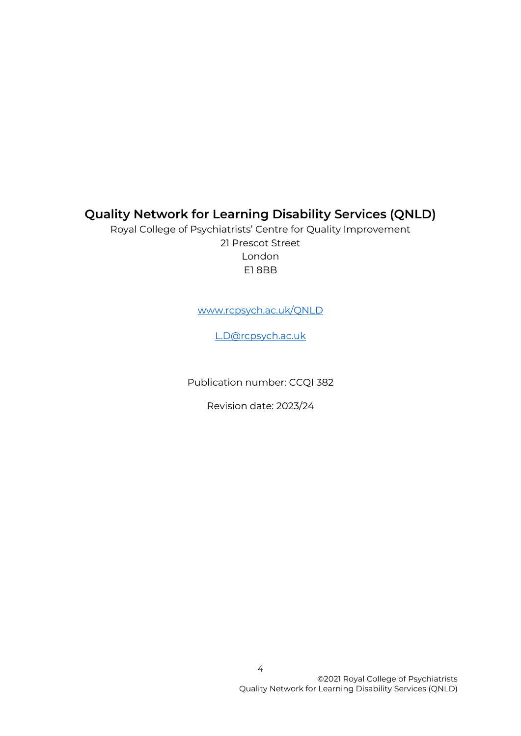### **Quality Network for Learning Disability Services (QNLD)**

Royal College of Psychiatrists' Centre for Quality Improvement 21 Prescot Street London E1 8BB

[www.rcpsych.ac.uk/QNLD](http://www.rcpsych.ac.uk/QNLD)

[L.D@rcpsych.ac.uk](mailto:L.D@rcpsych.ac.uk)

Publication number: CCQI 382

Revision date: 2023/24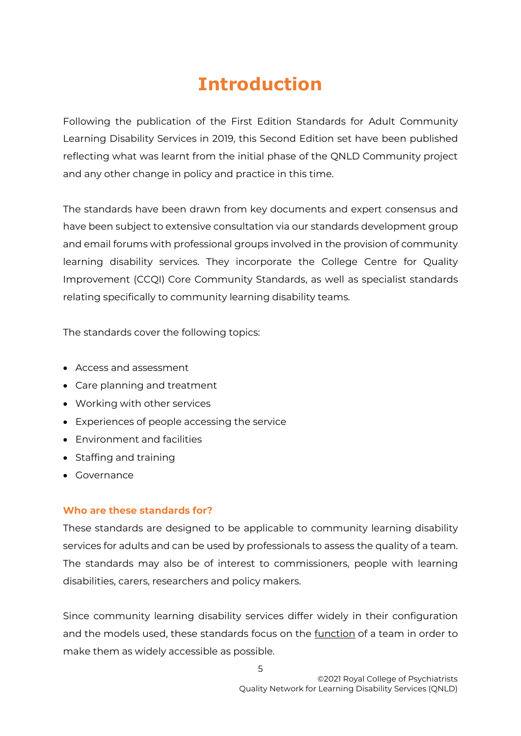# **Introduction**

<span id="page-4-0"></span>Following the publication of the First Edition Standards for Adult Community Learning Disability Services in 2019, this Second Edition set have been published reflecting what was learnt from the initial phase of the QNLD Community project and any other change in policy and practice in this time.

The standards have been drawn from key documents and expert consensus and have been subject to extensive consultation via our standards development group and email forums with professional groups involved in the provision of community learning disability services. They incorporate the College Centre for Quality Improvement (CCQI) Core Community Standards, as well as specialist standards relating specifically to community learning disability teams.

The standards cover the following topics:

- Access and assessment
- Care planning and treatment
- Working with other services
- Experiences of people accessing the service
- Environment and facilities
- Staffing and training
- Governance

#### **Who are these standards for?**

These standards are designed to be applicable to community learning disability services for adults and can be used by professionals to assess the quality of a team. The standards may also be of interest to commissioners, people with learning disabilities, carers, researchers and policy makers.

Since community learning disability services differ widely in their configuration and the models used, these standards focus on the <u>function</u> of a team in order to make them as widely accessible as possible.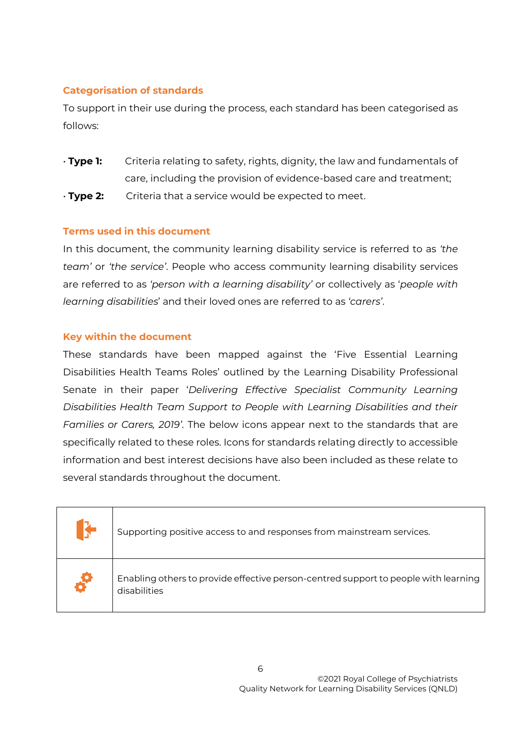#### **Categorisation of standards**

To support in their use during the process, each standard has been categorised as follows:

• **Type 1:** Criteria relating to safety, rights, dignity, the law and fundamentals of care, including the provision of evidence-based care and treatment; • **Type 2:** Criteria that a service would be expected to meet.

#### **Terms used in this document**

In this document, the community learning disability service is referred to as *'the team'* or *'the service'*. People who access community learning disability services are referred to as *'person with a learning disability'* or collectively as '*people with learning disabilities*' and their loved ones are referred to as *'carers'*.

#### **Key within the document**

These standards have been mapped against the 'Five Essential Learning Disabilities Health Teams Roles' outlined by the Learning Disability Professional Senate in their paper '*Delivering Effective Specialist Community Learning Disabilities Health Team Support to People with Learning Disabilities and their Families or Carers, 2019'*. The below icons appear next to the standards that are specifically related to these roles. Icons for standards relating directly to accessible information and best interest decisions have also been included as these relate to several standards throughout the document.

| Supporting positive access to and responses from mainstream services.                               |
|-----------------------------------------------------------------------------------------------------|
| Enabling others to provide effective person-centred support to people with learning<br>disabilities |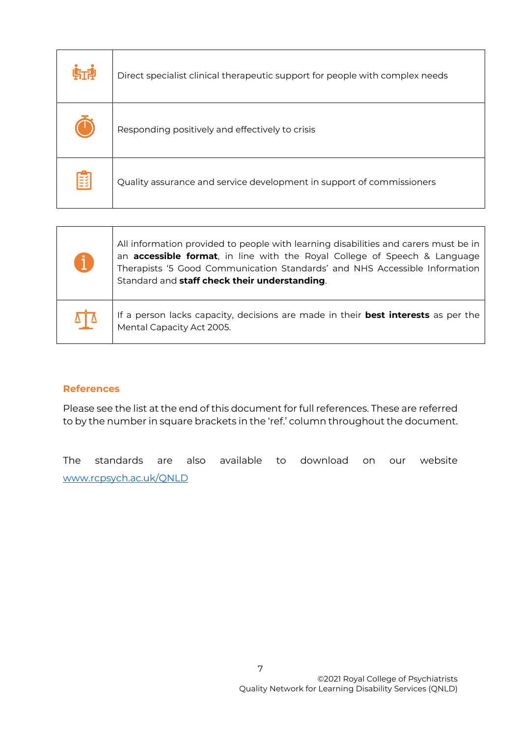| 临望   | Direct specialist clinical therapeutic support for people with complex needs |
|------|------------------------------------------------------------------------------|
|      | Responding positively and effectively to crisis                              |
| ∣≣ક્ | Quality assurance and service development in support of commissioners        |

| A          | All information provided to people with learning disabilities and carers must be in<br>an accessible format, in line with the Royal College of Speech & Language<br>Therapists '5 Good Communication Standards' and NHS Accessible Information<br>Standard and staff check their understanding. |
|------------|-------------------------------------------------------------------------------------------------------------------------------------------------------------------------------------------------------------------------------------------------------------------------------------------------|
| $\sqrt{7}$ | If a person lacks capacity, decisions are made in their <b>best interests</b> as per the<br>Mental Capacity Act 2005.                                                                                                                                                                           |

#### **References**

Please see the list at the end of this document for full references. These are referred to by the number in square brackets in the 'ref.' column throughout the document.

The standards are also available to download on our website [www.rcpsych.ac.uk/QNLD](http://www.rcpsych.ac.uk/QNLD)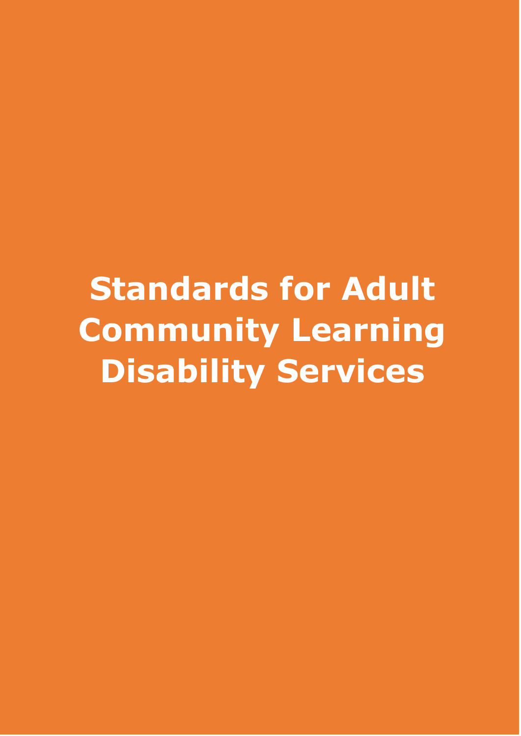**Standards for Adult Community Learning Disability Services**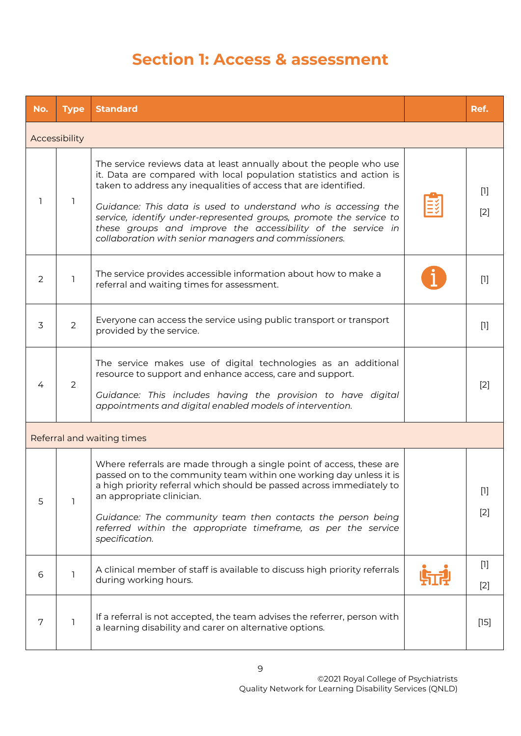### **Section 1: Access & assessment**

| No.           | <b>Type</b> | <b>Standard</b>                                                                                                                                                                                                                                                                                                                                                                                                                                                                  |  | Ref.           |
|---------------|-------------|----------------------------------------------------------------------------------------------------------------------------------------------------------------------------------------------------------------------------------------------------------------------------------------------------------------------------------------------------------------------------------------------------------------------------------------------------------------------------------|--|----------------|
| Accessibility |             |                                                                                                                                                                                                                                                                                                                                                                                                                                                                                  |  |                |
| 1             | 1           | The service reviews data at least annually about the people who use<br>it. Data are compared with local population statistics and action is<br>taken to address any inequalities of access that are identified.<br>Guidance: This data is used to understand who is accessing the<br>service, identify under-represented groups, promote the service to<br>these groups and improve the accessibility of the service in<br>collaboration with senior managers and commissioners. |  | $[1]$<br>$[2]$ |
| 2             | 1           | The service provides accessible information about how to make a<br>referral and waiting times for assessment.                                                                                                                                                                                                                                                                                                                                                                    |  | $[1]$          |
| 3             | 2           | Everyone can access the service using public transport or transport<br>provided by the service.                                                                                                                                                                                                                                                                                                                                                                                  |  | $[1]$          |
| 4             | 2           | The service makes use of digital technologies as an additional<br>resource to support and enhance access, care and support.<br>Guidance: This includes having the provision to have digital<br>appointments and digital enabled models of intervention.                                                                                                                                                                                                                          |  | $[2]$          |
|               |             | Referral and waiting times                                                                                                                                                                                                                                                                                                                                                                                                                                                       |  |                |
| 5             | 1           | Where referrals are made through a single point of access, these are<br>passed on to the community team within one working day unless it is<br>a high priority referral which should be passed across immediately to<br>an appropriate clinician.<br>Guidance: The community team then contacts the person being<br>referred within the appropriate timeframe, as per the service<br>specification.                                                                              |  | $[1]$<br>$[2]$ |
| 6             | 1           | A clinical member of staff is available to discuss high priority referrals<br>during working hours.                                                                                                                                                                                                                                                                                                                                                                              |  | $[1]$<br>$[2]$ |
| 7             | ı           | If a referral is not accepted, the team advises the referrer, person with<br>a learning disability and carer on alternative options.                                                                                                                                                                                                                                                                                                                                             |  | $[15]$         |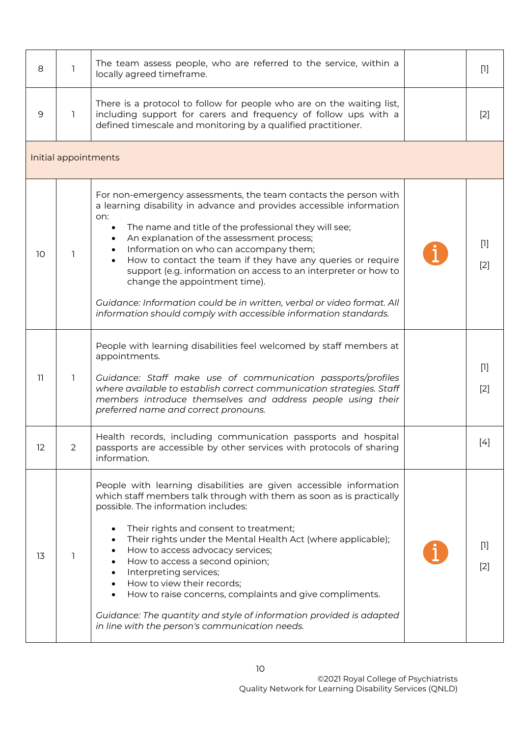| 8  | 1                    | The team assess people, who are referred to the service, within a<br>locally agreed timeframe.                                                                                                                                                                                                                                                                                                                                                                                                                                                                                                                                | $[1]$                                                                                                                                                                                                                                                                     |
|----|----------------------|-------------------------------------------------------------------------------------------------------------------------------------------------------------------------------------------------------------------------------------------------------------------------------------------------------------------------------------------------------------------------------------------------------------------------------------------------------------------------------------------------------------------------------------------------------------------------------------------------------------------------------|---------------------------------------------------------------------------------------------------------------------------------------------------------------------------------------------------------------------------------------------------------------------------|
| 9  | $\mathbb{1}$         | There is a protocol to follow for people who are on the waiting list,<br>including support for carers and frequency of follow ups with a<br>defined timescale and monitoring by a qualified practitioner.                                                                                                                                                                                                                                                                                                                                                                                                                     | $[2]$                                                                                                                                                                                                                                                                     |
|    | Initial appointments |                                                                                                                                                                                                                                                                                                                                                                                                                                                                                                                                                                                                                               |                                                                                                                                                                                                                                                                           |
| 10 | 1.                   | For non-emergency assessments, the team contacts the person with<br>a learning disability in advance and provides accessible information<br>on:<br>The name and title of the professional they will see;<br>$\bullet$<br>An explanation of the assessment process;<br>Information on who can accompany them;<br>How to contact the team if they have any queries or require<br>support (e.g. information on access to an interpreter or how to<br>change the appointment time).<br>Guidance: Information could be in written, verbal or video format. All<br>information should comply with accessible information standards. | $[1]$<br>$[2]$                                                                                                                                                                                                                                                            |
| 11 | 1                    | People with learning disabilities feel welcomed by staff members at<br>appointments.<br>Guidance: Staff make use of communication passports/profiles<br>where available to establish correct communication strategies. Staff<br>members introduce themselves and address people using their<br>preferred name and correct pronouns.                                                                                                                                                                                                                                                                                           | $[1]$<br>$[2]$                                                                                                                                                                                                                                                            |
| 12 | $\overline{2}$       | Health records, including communication passports and hospital<br>passports are accessible by other services with protocols of sharing<br>information.                                                                                                                                                                                                                                                                                                                                                                                                                                                                        | $[4] % \begin{center} \includegraphics[width=\linewidth]{imagesSupplemental/Imetad-Architecture.png} \end{center} \caption{The image shows the method of the method of the method. The left-hand side is the right side (in the left) of the method.} \label{fig:limact}$ |
| 13 | 1                    | People with learning disabilities are given accessible information<br>which staff members talk through with them as soon as is practically<br>possible. The information includes:<br>Their rights and consent to treatment;<br>Their rights under the Mental Health Act (where applicable);<br>How to access advocacy services;<br>How to access a second opinion;<br>Interpreting services;<br>How to view their records;<br>How to raise concerns, complaints and give compliments.<br>Guidance: The quantity and style of information provided is adapted<br>in line with the person's communication needs.                | $[1]$<br>$[2]$                                                                                                                                                                                                                                                            |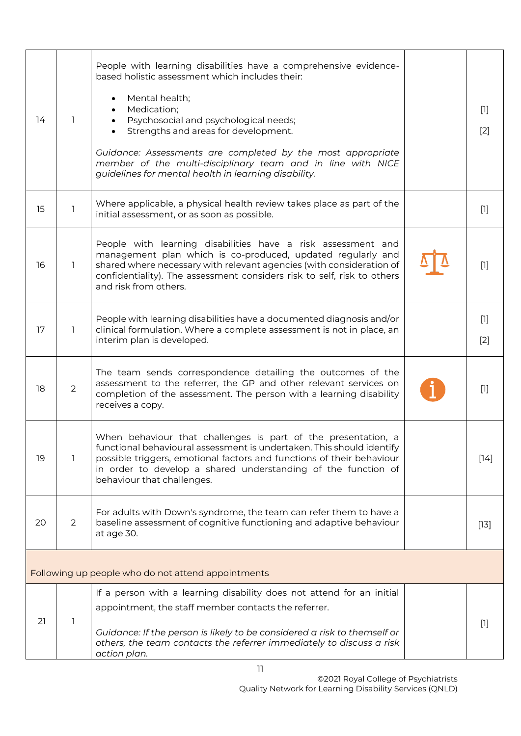| 14 | 1 | People with learning disabilities have a comprehensive evidence-<br>based holistic assessment which includes their:<br>Mental health;<br>$\bullet$<br>Medication;<br>Psychosocial and psychological needs;<br>Strengths and areas for development.<br>Guidance: Assessments are completed by the most appropriate<br>member of the multi-disciplinary team and in line with NICE<br>guidelines for mental health in learning disability. | $[1]$<br>$[2]$ |
|----|---|------------------------------------------------------------------------------------------------------------------------------------------------------------------------------------------------------------------------------------------------------------------------------------------------------------------------------------------------------------------------------------------------------------------------------------------|----------------|
| 15 | 1 | Where applicable, a physical health review takes place as part of the<br>initial assessment, or as soon as possible.                                                                                                                                                                                                                                                                                                                     | $[1]$          |
| 16 | 1 | People with learning disabilities have a risk assessment and<br>management plan which is co-produced, updated regularly and<br>shared where necessary with relevant agencies (with consideration of<br>confidentiality). The assessment considers risk to self, risk to others<br>and risk from others.                                                                                                                                  | $[1]$          |
| 17 | 1 | People with learning disabilities have a documented diagnosis and/or<br>clinical formulation. Where a complete assessment is not in place, an<br>interim plan is developed.                                                                                                                                                                                                                                                              | $[1]$<br>$[2]$ |
| 18 | 2 | The team sends correspondence detailing the outcomes of the<br>assessment to the referrer, the GP and other relevant services on<br>completion of the assessment. The person with a learning disability<br>receives a copy.                                                                                                                                                                                                              | $[1]$          |
| 19 | 1 | When behaviour that challenges is part of the presentation, a<br>functional behavioural assessment is undertaken. This should identify<br>possible triggers, emotional factors and functions of their behaviour<br>in order to develop a shared understanding of the function of<br>behaviour that challenges.                                                                                                                           | $[14]$         |
| 20 | 2 | For adults with Down's syndrome, the team can refer them to have a<br>baseline assessment of cognitive functioning and adaptive behaviour<br>at age 30.                                                                                                                                                                                                                                                                                  | $[13]$         |
|    |   | Following up people who do not attend appointments                                                                                                                                                                                                                                                                                                                                                                                       |                |
| 21 | 1 | If a person with a learning disability does not attend for an initial<br>appointment, the staff member contacts the referrer.<br>Guidance: If the person is likely to be considered a risk to themself or<br>others, the team contacts the referrer immediately to discuss a risk<br>action plan.                                                                                                                                        | $[1]$          |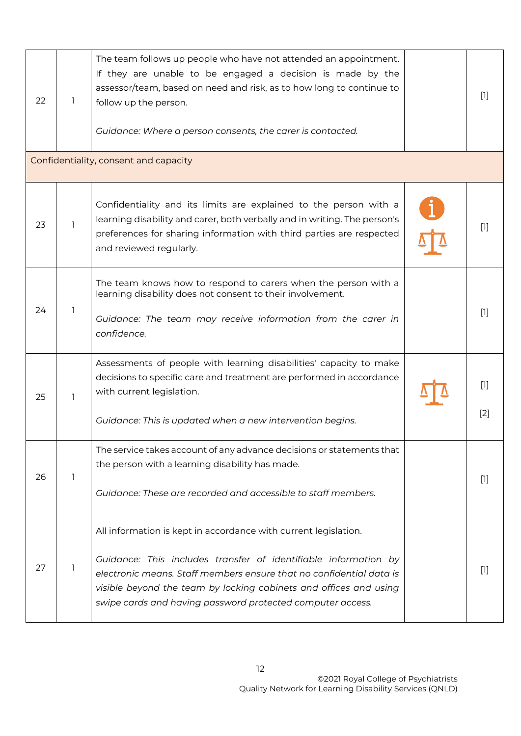| 22 | 1            | The team follows up people who have not attended an appointment.<br>If they are unable to be engaged a decision is made by the<br>assessor/team, based on need and risk, as to how long to continue to<br>follow up the person.<br>Guidance: Where a person consents, the carer is contacted.<br>Confidentiality, consent and capacity       | $[1]$        |
|----|--------------|----------------------------------------------------------------------------------------------------------------------------------------------------------------------------------------------------------------------------------------------------------------------------------------------------------------------------------------------|--------------|
|    |              |                                                                                                                                                                                                                                                                                                                                              |              |
| 23 | 1            | Confidentiality and its limits are explained to the person with a<br>learning disability and carer, both verbally and in writing. The person's<br>preferences for sharing information with third parties are respected<br>and reviewed regularly.                                                                                            | $[1]$        |
| 24 | 1            | The team knows how to respond to carers when the person with a<br>learning disability does not consent to their involvement.<br>Guidance: The team may receive information from the carer in<br>confidence.                                                                                                                                  | $[1]$        |
| 25 | $\mathbf{1}$ | Assessments of people with learning disabilities' capacity to make<br>decisions to specific care and treatment are performed in accordance<br>with current legislation.<br>Guidance: This is updated when a new intervention begins.                                                                                                         | $[1]$<br>[2] |
| 26 | 1            | The service takes account of any advance decisions or statements that<br>the person with a learning disability has made.<br>Guidance: These are recorded and accessible to staff members.                                                                                                                                                    | $[1]$        |
| 27 | 1            | All information is kept in accordance with current legislation.<br>Guidance: This includes transfer of identifiable information by<br>electronic means. Staff members ensure that no confidential data is<br>visible beyond the team by locking cabinets and offices and using<br>swipe cards and having password protected computer access. | $[1]$        |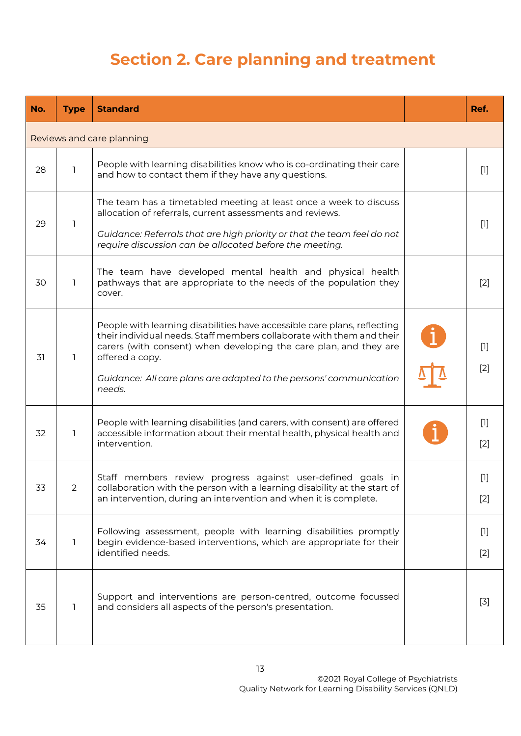## **Section 2. Care planning and treatment**

| No. | <b>Type</b>               | <b>Standard</b>                                                                                                                                                                                                                                                                                                           |  | Ref.           |  |  |
|-----|---------------------------|---------------------------------------------------------------------------------------------------------------------------------------------------------------------------------------------------------------------------------------------------------------------------------------------------------------------------|--|----------------|--|--|
|     | Reviews and care planning |                                                                                                                                                                                                                                                                                                                           |  |                |  |  |
| 28  | 1                         | People with learning disabilities know who is co-ordinating their care<br>and how to contact them if they have any questions.                                                                                                                                                                                             |  | $[1]$          |  |  |
| 29  | 1                         | The team has a timetabled meeting at least once a week to discuss<br>allocation of referrals, current assessments and reviews.<br>Guidance: Referrals that are high priority or that the team feel do not<br>require discussion can be allocated before the meeting.                                                      |  | $[1]$          |  |  |
| 30  | 1                         | The team have developed mental health and physical health<br>pathways that are appropriate to the needs of the population they<br>cover.                                                                                                                                                                                  |  | $[2]$          |  |  |
| 31  | 1                         | People with learning disabilities have accessible care plans, reflecting<br>their individual needs. Staff members collaborate with them and their<br>carers (with consent) when developing the care plan, and they are<br>offered a copy.<br>Guidance: All care plans are adapted to the persons' communication<br>needs. |  | $[1]$<br>$[2]$ |  |  |
| 32  | 1                         | People with learning disabilities (and carers, with consent) are offered<br>accessible information about their mental health, physical health and<br>intervention.                                                                                                                                                        |  | $[1]$<br>$[2]$ |  |  |
| 33  | $\mathbf{Z}$              | Staff members review progress against user-defined goals in<br>collaboration with the person with a learning disability at the start of<br>an intervention, during an intervention and when it is complete.                                                                                                               |  | $[1]$<br>$[2]$ |  |  |
| 34  | 1                         | Following assessment, people with learning disabilities promptly<br>begin evidence-based interventions, which are appropriate for their<br>identified needs.                                                                                                                                                              |  | $[1]$<br>$[2]$ |  |  |
| 35  | 1                         | Support and interventions are person-centred, outcome focussed<br>and considers all aspects of the person's presentation.                                                                                                                                                                                                 |  | $[3]$          |  |  |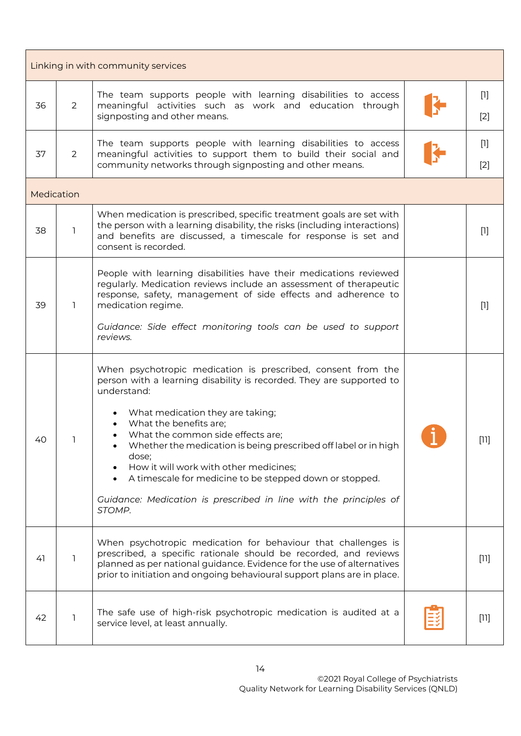|            | Linking in with community services |                                                                                                                                                                                                                                                                                                                                                                                                                                                                                                                        |  |                |  |
|------------|------------------------------------|------------------------------------------------------------------------------------------------------------------------------------------------------------------------------------------------------------------------------------------------------------------------------------------------------------------------------------------------------------------------------------------------------------------------------------------------------------------------------------------------------------------------|--|----------------|--|
| 36         | $\overline{2}$                     | The team supports people with learning disabilities to access<br>meaningful activities such as work and education through<br>signposting and other means.                                                                                                                                                                                                                                                                                                                                                              |  | $[1]$<br>$[2]$ |  |
| 37         | $\overline{2}$                     | The team supports people with learning disabilities to access<br>meaningful activities to support them to build their social and<br>community networks through signposting and other means.                                                                                                                                                                                                                                                                                                                            |  | $[1]$<br>$[2]$ |  |
| Medication |                                    |                                                                                                                                                                                                                                                                                                                                                                                                                                                                                                                        |  |                |  |
| 38         | 1                                  | When medication is prescribed, specific treatment goals are set with<br>the person with a learning disability, the risks (including interactions)<br>and benefits are discussed, a timescale for response is set and<br>consent is recorded.                                                                                                                                                                                                                                                                           |  | $[1]$          |  |
| 39         | 1                                  | People with learning disabilities have their medications reviewed<br>regularly. Medication reviews include an assessment of therapeutic<br>response, safety, management of side effects and adherence to<br>medication regime.<br>Guidance: Side effect monitoring tools can be used to support<br>reviews.                                                                                                                                                                                                            |  | $[1]$          |  |
| 40         |                                    | When psychotropic medication is prescribed, consent from the<br>person with a learning disability is recorded. They are supported to<br>understand:<br>What medication they are taking;<br>What the benefits are:<br>What the common side effects are;<br>Whether the medication is being prescribed off label or in high<br>dose;<br>How it will work with other medicines;<br>A timescale for medicine to be stepped down or stopped.<br>Guidance: Medication is prescribed in line with the principles of<br>STOMP. |  | ווח            |  |
| 41         | 1                                  | When psychotropic medication for behaviour that challenges is<br>prescribed, a specific rationale should be recorded, and reviews<br>planned as per national guidance. Evidence for the use of alternatives<br>prior to initiation and ongoing behavioural support plans are in place.                                                                                                                                                                                                                                 |  | $[11]$         |  |
| 42         | 1                                  | The safe use of high-risk psychotropic medication is audited at a<br>service level, at least annually.                                                                                                                                                                                                                                                                                                                                                                                                                 |  | $[11]$         |  |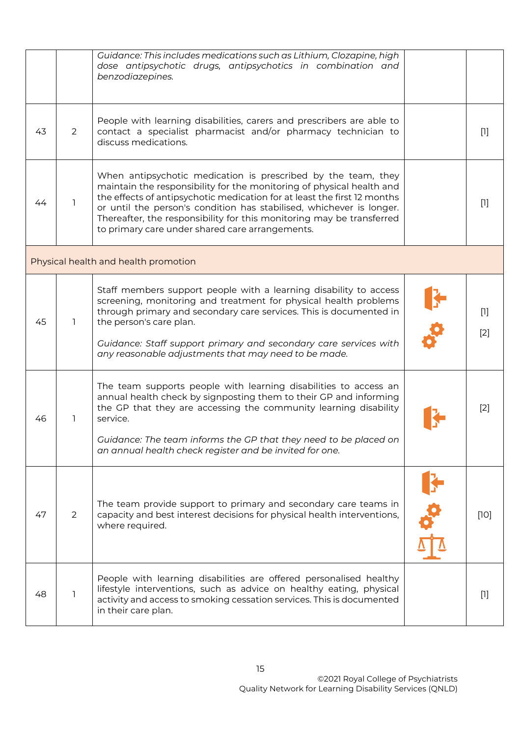|    |          | Guidance: This includes medications such as Lithium, Clozapine, high<br>dose antipsychotic drugs, antipsychotics in combination and<br>benzodiazepines.                                                                                                                                                                                                                                                                |                |
|----|----------|------------------------------------------------------------------------------------------------------------------------------------------------------------------------------------------------------------------------------------------------------------------------------------------------------------------------------------------------------------------------------------------------------------------------|----------------|
| 43 | 2        | People with learning disabilities, carers and prescribers are able to<br>contact a specialist pharmacist and/or pharmacy technician to<br>discuss medications.                                                                                                                                                                                                                                                         | $[1]$          |
| 44 | <b>T</b> | When antipsychotic medication is prescribed by the team, they<br>maintain the responsibility for the monitoring of physical health and<br>the effects of antipsychotic medication for at least the first 12 months<br>or until the person's condition has stabilised, whichever is longer.<br>Thereafter, the responsibility for this monitoring may be transferred<br>to primary care under shared care arrangements. | $[1]$          |
|    |          | Physical health and health promotion                                                                                                                                                                                                                                                                                                                                                                                   |                |
| 45 | L.       | Staff members support people with a learning disability to access<br>screening, monitoring and treatment for physical health problems<br>through primary and secondary care services. This is documented in<br>the person's care plan.<br>Guidance: Staff support primary and secondary care services with<br>any reasonable adjustments that may need to be made.                                                     | $[1]$<br>$[2]$ |
| 46 | 1        | The team supports people with learning disabilities to access an<br>annual health check by signposting them to their GP and informing<br>the GP that they are accessing the community learning disability<br>service.<br>Guidance: The team informs the GP that they need to be placed on<br>an annual health check register and be invited for one.                                                                   | $[2]$          |
| 47 | 2        | The team provide support to primary and secondary care teams in<br>capacity and best interest decisions for physical health interventions,<br>where required.                                                                                                                                                                                                                                                          | $[10]$         |
| 48 | <b>T</b> | People with learning disabilities are offered personalised healthy<br>lifestyle interventions, such as advice on healthy eating, physical<br>activity and access to smoking cessation services. This is documented<br>in their care plan.                                                                                                                                                                              | $[1]$          |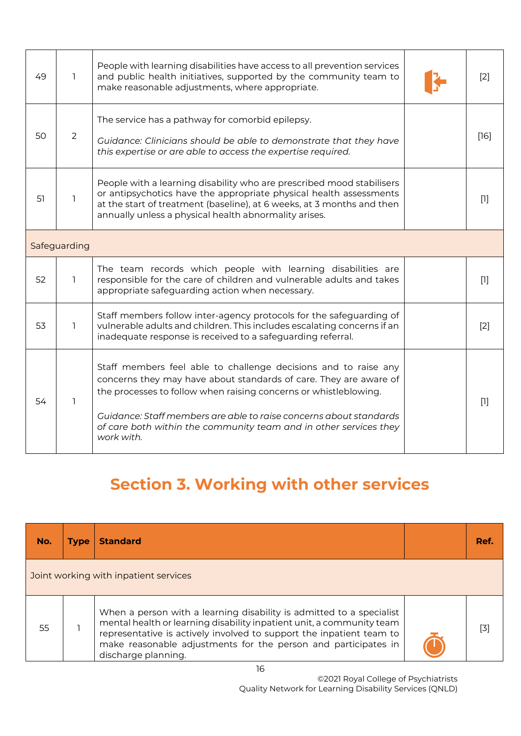| 49 | 1            | People with learning disabilities have access to all prevention services<br>and public health initiatives, supported by the community team to<br>make reasonable adjustments, where appropriate.                                                                                                                                                                  |  | $[2]$             |
|----|--------------|-------------------------------------------------------------------------------------------------------------------------------------------------------------------------------------------------------------------------------------------------------------------------------------------------------------------------------------------------------------------|--|-------------------|
| 50 | 2            | The service has a pathway for comorbid epilepsy.<br>Guidance: Clinicians should be able to demonstrate that they have<br>this expertise or are able to access the expertise required.                                                                                                                                                                             |  | [16]              |
| 51 | 1            | People with a learning disability who are prescribed mood stabilisers<br>or antipsychotics have the appropriate physical health assessments<br>at the start of treatment (baseline), at 6 weeks, at 3 months and then<br>annually unless a physical health abnormality arises.                                                                                    |  | $[1]$             |
|    | Safeguarding |                                                                                                                                                                                                                                                                                                                                                                   |  |                   |
| 52 | 1            | The team records which people with learning disabilities are<br>responsible for the care of children and vulnerable adults and takes<br>appropriate safeguarding action when necessary.                                                                                                                                                                           |  | $[1]$             |
| 53 | 1.           | Staff members follow inter-agency protocols for the safeguarding of<br>vulnerable adults and children. This includes escalating concerns if an<br>inadequate response is received to a safeguarding referral.                                                                                                                                                     |  | $\lceil 2 \rceil$ |
| 54 | 1            | Staff members feel able to challenge decisions and to raise any<br>concerns they may have about standards of care. They are aware of<br>the processes to follow when raising concerns or whistleblowing.<br>Guidance: Staff members are able to raise concerns about standards<br>of care both within the community team and in other services they<br>work with. |  | $[1]$             |

# **Section 3. Working with other services**

| No. | <b>Type</b> | <b>Standard</b>                                                                                                                                                                                                                                                                                                | Ref.  |
|-----|-------------|----------------------------------------------------------------------------------------------------------------------------------------------------------------------------------------------------------------------------------------------------------------------------------------------------------------|-------|
|     |             | Joint working with inpatient services                                                                                                                                                                                                                                                                          |       |
| 55  |             | When a person with a learning disability is admitted to a specialist<br>mental health or learning disability inpatient unit, a community team<br>representative is actively involved to support the inpatient team to<br>make reasonable adjustments for the person and participates in<br>discharge planning. | $[3]$ |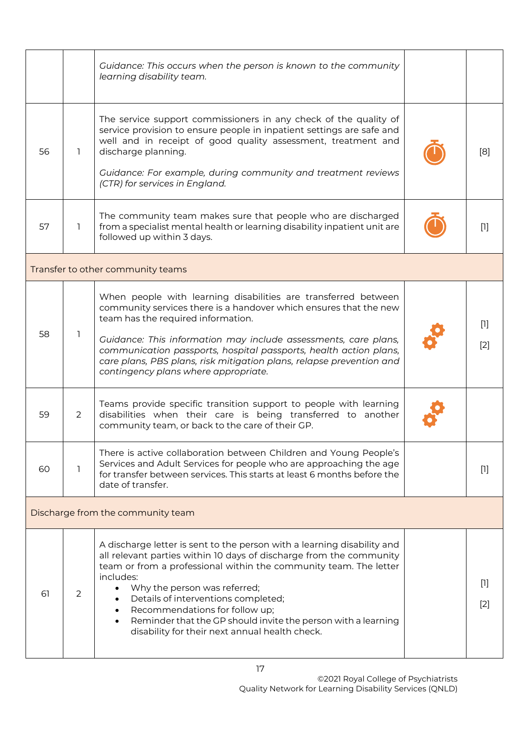|    |         | Guidance: This occurs when the person is known to the community<br>learning disability team.                                                                                                                                                                                                                                                                                                                                                                                           |                |
|----|---------|----------------------------------------------------------------------------------------------------------------------------------------------------------------------------------------------------------------------------------------------------------------------------------------------------------------------------------------------------------------------------------------------------------------------------------------------------------------------------------------|----------------|
| 56 | 1.      | The service support commissioners in any check of the quality of<br>service provision to ensure people in inpatient settings are safe and<br>well and in receipt of good quality assessment, treatment and<br>discharge planning.<br>Guidance: For example, during community and treatment reviews<br>(CTR) for services in England.                                                                                                                                                   | [8]            |
| 57 | L       | The community team makes sure that people who are discharged<br>from a specialist mental health or learning disability inpatient unit are<br>followed up within 3 days.                                                                                                                                                                                                                                                                                                                | $[1]$          |
|    |         | Transfer to other community teams                                                                                                                                                                                                                                                                                                                                                                                                                                                      |                |
| 58 | 1       | When people with learning disabilities are transferred between<br>community services there is a handover which ensures that the new<br>team has the required information.<br>Guidance: This information may include assessments, care plans,<br>communication passports, hospital passports, health action plans,<br>care plans, PBS plans, risk mitigation plans, relapse prevention and<br>contingency plans where appropriate.                                                      | $[1]$<br>$[2]$ |
| 59 | 2       | Teams provide specific transition support to people with learning<br>disabilities when their care is being transferred to another<br>community team, or back to the care of their GP.                                                                                                                                                                                                                                                                                                  |                |
| 60 | $\perp$ | There is active collaboration between Children and Young People's<br>Services and Adult Services for people who are approaching the age<br>for transfer between services. This starts at least 6 months before the<br>date of transfer.                                                                                                                                                                                                                                                | $[1]$          |
|    |         | Discharge from the community team                                                                                                                                                                                                                                                                                                                                                                                                                                                      |                |
| 61 | 2       | A discharge letter is sent to the person with a learning disability and<br>all relevant parties within 10 days of discharge from the community<br>team or from a professional within the community team. The letter<br>includes:<br>Why the person was referred;<br>$\bullet$<br>Details of interventions completed;<br>Recommendations for follow up;<br>$\bullet$<br>Reminder that the GP should invite the person with a learning<br>disability for their next annual health check. | $[1]$<br>$[2]$ |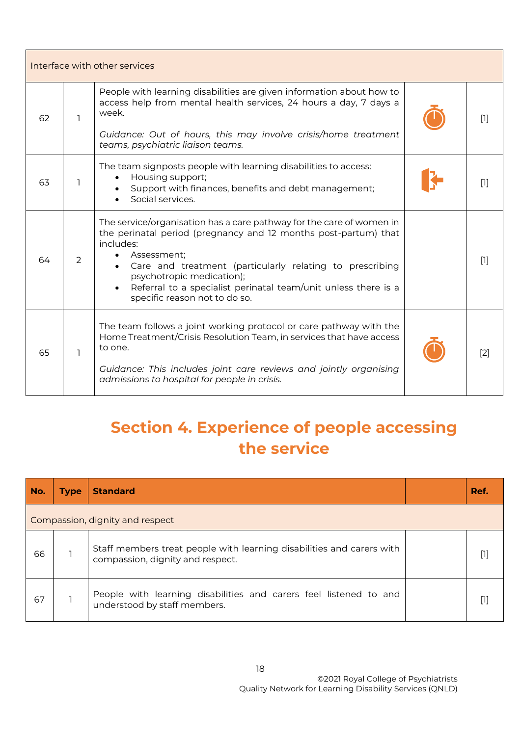| Interface with other services |    |                                                                                                                                                                                                                                                                                                                                                                              |  |       |
|-------------------------------|----|------------------------------------------------------------------------------------------------------------------------------------------------------------------------------------------------------------------------------------------------------------------------------------------------------------------------------------------------------------------------------|--|-------|
| 62                            | L. | People with learning disabilities are given information about how to<br>access help from mental health services, 24 hours a day, 7 days a<br>week.<br>Guidance: Out of hours, this may involve crisis/home treatment<br>teams, psychiatric liaison teams.                                                                                                                    |  | $[1]$ |
| 63                            | ı  | The team signposts people with learning disabilities to access:<br>Housing support;<br>Support with finances, benefits and debt management;<br>Social services.                                                                                                                                                                                                              |  | $[1]$ |
| 64                            | 2  | The service/organisation has a care pathway for the care of women in<br>the perinatal period (pregnancy and 12 months post-partum) that<br>includes:<br>Assessment;<br>Care and treatment (particularly relating to prescribing<br>psychotropic medication);<br>Referral to a specialist perinatal team/unit unless there is a<br>$\bullet$<br>specific reason not to do so. |  | $[1]$ |
| 65                            | ı  | The team follows a joint working protocol or care pathway with the<br>Home Treatment/Crisis Resolution Team, in services that have access<br>to one.<br>Guidance: This includes joint care reviews and jointly organising<br>admissions to hospital for people in crisis.                                                                                                    |  | [2]   |

## <span id="page-17-0"></span>**Section 4. Experience of people accessing the service**

| No. | <b>Type</b>                     | <b>Standard</b>                                                                                           |  | Ref.            |  |  |
|-----|---------------------------------|-----------------------------------------------------------------------------------------------------------|--|-----------------|--|--|
|     | Compassion, dignity and respect |                                                                                                           |  |                 |  |  |
| 66  |                                 | Staff members treat people with learning disabilities and carers with<br>compassion, dignity and respect. |  | Ш               |  |  |
| 67  |                                 | People with learning disabilities and carers feel listened to and<br>understood by staff members.         |  | $\lceil \rceil$ |  |  |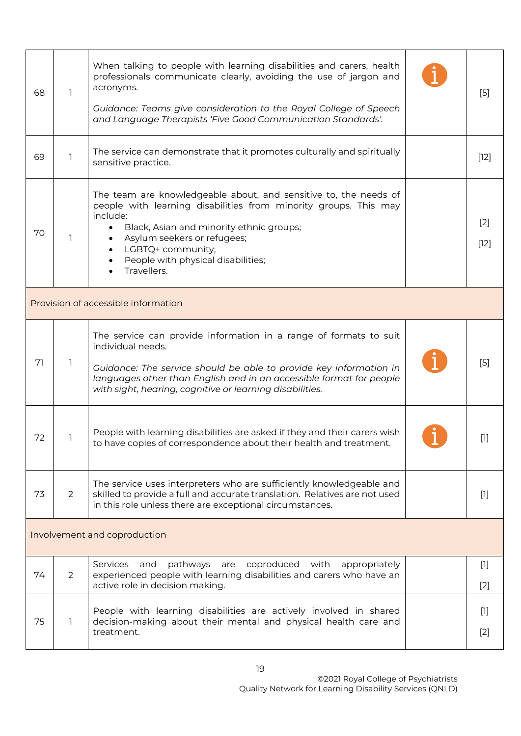| 68 | ı                                   | When talking to people with learning disabilities and carers, health<br>professionals communicate clearly, avoiding the use of jargon and<br>acronyms.<br>Guidance: Teams give consideration to the Royal College of Speech<br>and Language Therapists 'Five Good Communication Standards'.                                                  |  | $[5]$           |  |  |  |
|----|-------------------------------------|----------------------------------------------------------------------------------------------------------------------------------------------------------------------------------------------------------------------------------------------------------------------------------------------------------------------------------------------|--|-----------------|--|--|--|
| 69 | L.                                  | The service can demonstrate that it promotes culturally and spiritually<br>sensitive practice.                                                                                                                                                                                                                                               |  | $[12]$          |  |  |  |
| 70 | 1                                   | The team are knowledgeable about, and sensitive to, the needs of<br>people with learning disabilities from minority groups. This may<br>include:<br>Black, Asian and minority ethnic groups;<br>$\bullet$<br>Asylum seekers or refugees;<br>LGBTQ+ community;<br>$\bullet$<br>People with physical disabilities;<br>$\bullet$<br>Travellers. |  | $[2]$<br>$[12]$ |  |  |  |
|    | Provision of accessible information |                                                                                                                                                                                                                                                                                                                                              |  |                 |  |  |  |
| 71 |                                     | The service can provide information in a range of formats to suit<br>individual needs.<br>Guidance: The service should be able to provide key information in<br>languages other than English and in an accessible format for people<br>with sight, hearing, cognitive or learning disabilities.                                              |  | $[5]$           |  |  |  |
| 72 |                                     | People with learning disabilities are asked if they and their carers wish<br>to have copies of correspondence about their health and treatment.                                                                                                                                                                                              |  | Ш               |  |  |  |
| 73 | $\overline{2}$                      | The service uses interpreters who are sufficiently knowledgeable and<br>skilled to provide a full and accurate translation. Relatives are not used<br>in this role unless there are exceptional circumstances.                                                                                                                               |  | $[1]$           |  |  |  |
|    | Involvement and coproduction        |                                                                                                                                                                                                                                                                                                                                              |  |                 |  |  |  |
| 74 | $\overline{2}$                      | pathways<br>coproduced with<br>Services<br>are<br>appropriately<br>and<br>experienced people with learning disabilities and carers who have an<br>active role in decision making.                                                                                                                                                            |  | $[1]$<br>$[2]$  |  |  |  |
| 75 | L.                                  | People with learning disabilities are actively involved in shared<br>decision-making about their mental and physical health care and<br>treatment.                                                                                                                                                                                           |  | $[1]$<br>$[2]$  |  |  |  |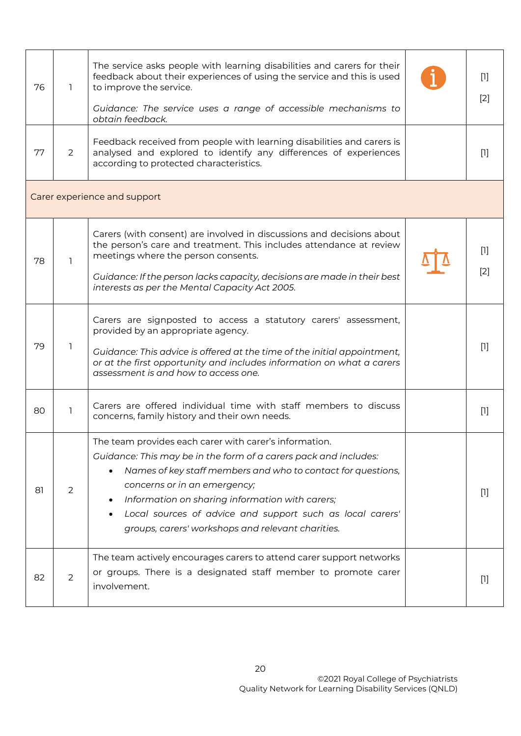| 76 | 1.                           | The service asks people with learning disabilities and carers for their<br>feedback about their experiences of using the service and this is used<br>to improve the service.<br>Guidance: The service uses a range of accessible mechanisms to<br>obtain feedback.                                                                                                                                                        |  | $[1]$<br>$[2]$ |  |  |
|----|------------------------------|---------------------------------------------------------------------------------------------------------------------------------------------------------------------------------------------------------------------------------------------------------------------------------------------------------------------------------------------------------------------------------------------------------------------------|--|----------------|--|--|
| 77 | 2                            | Feedback received from people with learning disabilities and carers is<br>analysed and explored to identify any differences of experiences<br>according to protected characteristics.                                                                                                                                                                                                                                     |  | $[1]$          |  |  |
|    | Carer experience and support |                                                                                                                                                                                                                                                                                                                                                                                                                           |  |                |  |  |
| 78 | 1                            | Carers (with consent) are involved in discussions and decisions about<br>the person's care and treatment. This includes attendance at review<br>meetings where the person consents.<br>Guidance: If the person lacks capacity, decisions are made in their best<br>interests as per the Mental Capacity Act 2005.                                                                                                         |  | $[1]$<br>$[2]$ |  |  |
| 79 | L.                           | Carers are signposted to access a statutory carers' assessment,<br>provided by an appropriate agency.<br>Guidance: This advice is offered at the time of the initial appointment,<br>or at the first opportunity and includes information on what a carers<br>assessment is and how to access one.                                                                                                                        |  | $[1]$          |  |  |
| 80 | 1                            | Carers are offered individual time with staff members to discuss<br>concerns, family history and their own needs.                                                                                                                                                                                                                                                                                                         |  | $[1]$          |  |  |
| 81 | 2                            | The team provides each carer with carer's information.<br>Guidance: This may be in the form of a carers pack and includes:<br>Names of key staff members and who to contact for questions,<br>$\bullet$<br>concerns or in an emergency;<br>Information on sharing information with carers;<br>Local sources of advice and support such as local carers'<br>$\bullet$<br>groups, carers' workshops and relevant charities. |  | $[1]$          |  |  |
| 82 | $\overline{2}$               | The team actively encourages carers to attend carer support networks<br>or groups. There is a designated staff member to promote carer<br>involvement.                                                                                                                                                                                                                                                                    |  | $[1]$          |  |  |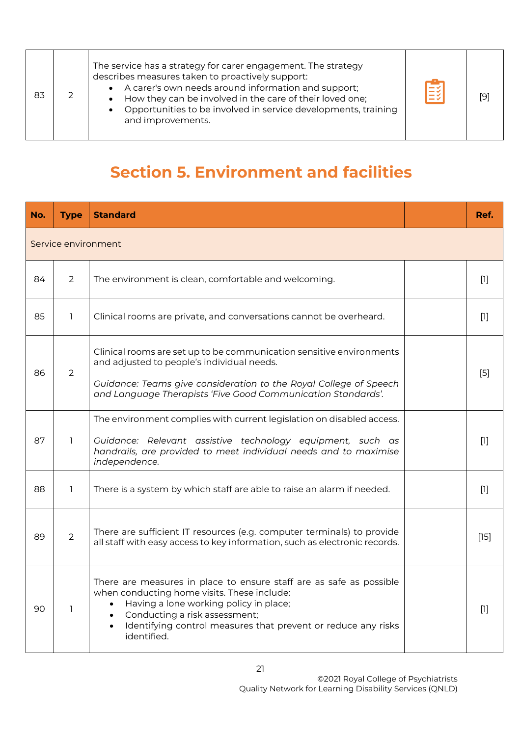| 83 |  | The service has a strategy for carer engagement. The strategy<br>describes measures taken to proactively support:<br>A carer's own needs around information and support;<br>$\bullet$<br>How they can be involved in the care of their loved one;<br>Opportunities to be involved in service developments, training<br>$\bullet$<br>and improvements. | E | [9] |
|----|--|-------------------------------------------------------------------------------------------------------------------------------------------------------------------------------------------------------------------------------------------------------------------------------------------------------------------------------------------------------|---|-----|
|----|--|-------------------------------------------------------------------------------------------------------------------------------------------------------------------------------------------------------------------------------------------------------------------------------------------------------------------------------------------------------|---|-----|

## <span id="page-20-0"></span>**Section 5. Environment and facilities**

| No. | <b>Type</b>         | <b>Standard</b>                                                                                                                                                                                                                                                                            |  | Ref.   |  |  |  |
|-----|---------------------|--------------------------------------------------------------------------------------------------------------------------------------------------------------------------------------------------------------------------------------------------------------------------------------------|--|--------|--|--|--|
|     | Service environment |                                                                                                                                                                                                                                                                                            |  |        |  |  |  |
| 84  | $\overline{2}$      | The environment is clean, comfortable and welcoming.                                                                                                                                                                                                                                       |  | $[1]$  |  |  |  |
| 85  | 1.                  | Clinical rooms are private, and conversations cannot be overheard.                                                                                                                                                                                                                         |  | $[1]$  |  |  |  |
| 86  | $\overline{2}$      | Clinical rooms are set up to be communication sensitive environments<br>and adjusted to people's individual needs.<br>Guidance: Teams give consideration to the Royal College of Speech<br>and Language Therapists 'Five Good Communication Standards'.                                    |  | $[5]$  |  |  |  |
| 87  | 1                   | The environment complies with current legislation on disabled access.<br>Guidance: Relevant assistive technology equipment, such as<br>handrails, are provided to meet individual needs and to maximise<br>independence.                                                                   |  | $[1]$  |  |  |  |
| 88  | 1.                  | There is a system by which staff are able to raise an alarm if needed.                                                                                                                                                                                                                     |  | $[1]$  |  |  |  |
| 89  | $\overline{2}$      | There are sufficient IT resources (e.g. computer terminals) to provide<br>all staff with easy access to key information, such as electronic records.                                                                                                                                       |  | $[15]$ |  |  |  |
| 90  | 1                   | There are measures in place to ensure staff are as safe as possible<br>when conducting home visits. These include:<br>Having a lone working policy in place;<br>$\bullet$<br>Conducting a risk assessment;<br>Identifying control measures that prevent or reduce any risks<br>identified. |  | $[1]$  |  |  |  |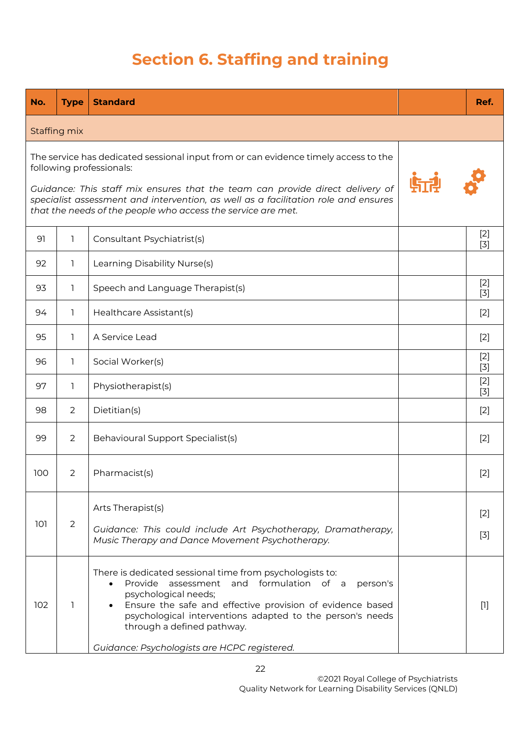## **Section 6. Staffing and training**

<span id="page-21-0"></span>

| No. | <b>Type</b>    | <b>Standard</b>                                                                                                                                                                                                                                                                                                                                              | Ref.           |
|-----|----------------|--------------------------------------------------------------------------------------------------------------------------------------------------------------------------------------------------------------------------------------------------------------------------------------------------------------------------------------------------------------|----------------|
|     | Staffing mix   |                                                                                                                                                                                                                                                                                                                                                              |                |
|     |                | The service has dedicated sessional input from or can evidence timely access to the<br>following professionals:<br>Guidance: This staff mix ensures that the team can provide direct delivery of<br>specialist assessment and intervention, as well as a facilitation role and ensures<br>that the needs of the people who access the service are met.       |                |
| 91  | 1.             | Consultant Psychiatrist(s)                                                                                                                                                                                                                                                                                                                                   | $[2]$<br>$[3]$ |
| 92  | 1.             | Learning Disability Nurse(s)                                                                                                                                                                                                                                                                                                                                 |                |
| 93  | 1              | Speech and Language Therapist(s)                                                                                                                                                                                                                                                                                                                             | $[2]$<br>$[3]$ |
| 94  | 1.             | Healthcare Assistant(s)                                                                                                                                                                                                                                                                                                                                      | $[2]$          |
| 95  | 1              | A Service Lead                                                                                                                                                                                                                                                                                                                                               | $[2]$          |
| 96  | 1              | Social Worker(s)                                                                                                                                                                                                                                                                                                                                             | $[2]$<br>$[3]$ |
| 97  | 1              | Physiotherapist(s)                                                                                                                                                                                                                                                                                                                                           | $[2]$<br>$[3]$ |
| 98  | 2              | Dietitian(s)                                                                                                                                                                                                                                                                                                                                                 | $[2]$          |
| 99  | 2              | Behavioural Support Specialist(s)                                                                                                                                                                                                                                                                                                                            | $[2]$          |
| 100 | $\overline{2}$ | Pharmacist(s)                                                                                                                                                                                                                                                                                                                                                | $[2]$          |
| 101 | 2              | Arts Therapist(s)<br>Guidance: This could include Art Psychotherapy, Dramatherapy,<br>Music Therapy and Dance Movement Psychotherapy.                                                                                                                                                                                                                        | $[2]$<br>$[3]$ |
| 102 | 1              | There is dedicated sessional time from psychologists to:<br>Provide assessment and formulation of a<br>person's<br>$\bullet$<br>psychological needs;<br>Ensure the safe and effective provision of evidence based<br>psychological interventions adapted to the person's needs<br>through a defined pathway.<br>Guidance: Psychologists are HCPC registered. | m              |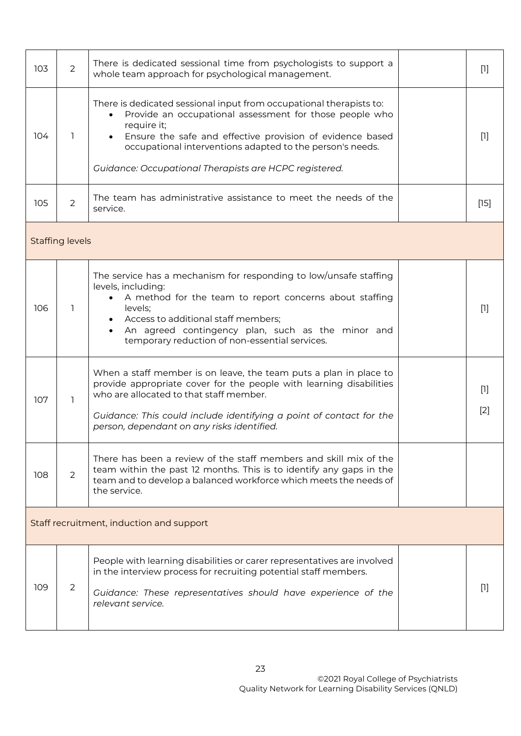| 103                                      | $\overline{2}$         | There is dedicated sessional time from psychologists to support a<br>whole team approach for psychological management.                                                                                                                                                                                                                                      |  | $[1]$          |  |
|------------------------------------------|------------------------|-------------------------------------------------------------------------------------------------------------------------------------------------------------------------------------------------------------------------------------------------------------------------------------------------------------------------------------------------------------|--|----------------|--|
| 104                                      | 1                      | There is dedicated sessional input from occupational therapists to:<br>Provide an occupational assessment for those people who<br>$\bullet$<br>require it;<br>Ensure the safe and effective provision of evidence based<br>$\bullet$<br>occupational interventions adapted to the person's needs.<br>Guidance: Occupational Therapists are HCPC registered. |  | $[1]$          |  |
| 105                                      | 2                      | The team has administrative assistance to meet the needs of the<br>service.                                                                                                                                                                                                                                                                                 |  | $[15]$         |  |
|                                          | <b>Staffing levels</b> |                                                                                                                                                                                                                                                                                                                                                             |  |                |  |
| 106                                      | 1                      | The service has a mechanism for responding to low/unsafe staffing<br>levels, including:<br>A method for the team to report concerns about staffing<br>levels;<br>Access to additional staff members;<br>$\bullet$<br>An agreed contingency plan, such as the minor and<br>$\bullet$<br>temporary reduction of non-essential services.                       |  | $[1]$          |  |
| 107                                      | 1                      | When a staff member is on leave, the team puts a plan in place to<br>provide appropriate cover for the people with learning disabilities<br>who are allocated to that staff member.<br>Guidance: This could include identifying a point of contact for the<br>person, dependant on any risks identified.                                                    |  | $[1]$<br>$[2]$ |  |
| 108                                      | $\overline{2}$         | There has been a review of the staff members and skill mix of the<br>team within the past 12 months. This is to identify any gaps in the<br>team and to develop a balanced workforce which meets the needs of<br>the service.                                                                                                                               |  |                |  |
| Staff recruitment, induction and support |                        |                                                                                                                                                                                                                                                                                                                                                             |  |                |  |
| 109                                      | 2                      | People with learning disabilities or carer representatives are involved<br>in the interview process for recruiting potential staff members.<br>Guidance: These representatives should have experience of the<br>relevant service.                                                                                                                           |  | $[1]$          |  |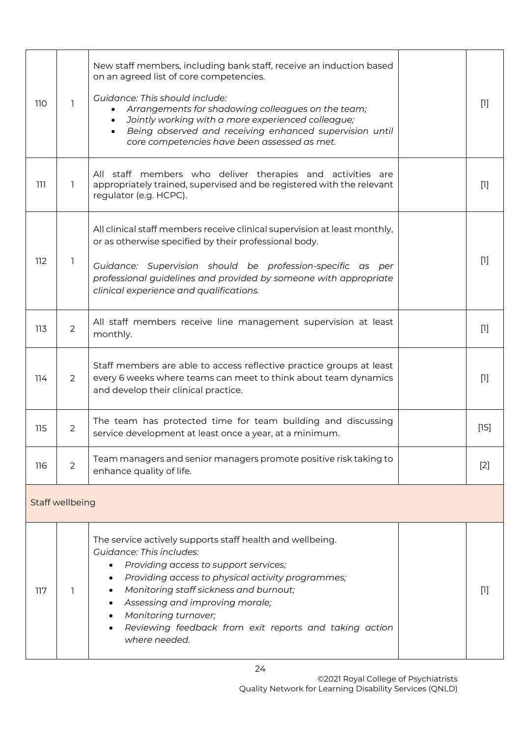| 110 | 1               | New staff members, including bank staff, receive an induction based<br>on an agreed list of core competencies.<br>Guidance: This should include:<br>Arrangements for shadowing colleagues on the team;<br>Jointly working with a more experienced colleague;<br>$\bullet$<br>Being observed and receiving enhanced supervision until<br>$\bullet$<br>core competencies have been assessed as met.                                           |  | $[1]$  |  |  |
|-----|-----------------|---------------------------------------------------------------------------------------------------------------------------------------------------------------------------------------------------------------------------------------------------------------------------------------------------------------------------------------------------------------------------------------------------------------------------------------------|--|--------|--|--|
| 111 | 1               | All staff members who deliver therapies and activities are<br>appropriately trained, supervised and be registered with the relevant<br>regulator (e.g. HCPC).                                                                                                                                                                                                                                                                               |  | $[1]$  |  |  |
| 112 | 1               | All clinical staff members receive clinical supervision at least monthly,<br>or as otherwise specified by their professional body.<br>Guidance: Supervision should be profession-specific as per<br>professional guidelines and provided by someone with appropriate<br>clinical experience and qualifications.                                                                                                                             |  | $[1]$  |  |  |
| 113 | $\overline{2}$  | All staff members receive line management supervision at least<br>monthly.                                                                                                                                                                                                                                                                                                                                                                  |  | $[1]$  |  |  |
| 114 | $\overline{2}$  | Staff members are able to access reflective practice groups at least<br>every 6 weeks where teams can meet to think about team dynamics<br>and develop their clinical practice.                                                                                                                                                                                                                                                             |  | $[1]$  |  |  |
| 115 | $\overline{2}$  | The team has protected time for team building and discussing<br>service development at least once a year, at a minimum.                                                                                                                                                                                                                                                                                                                     |  | $[15]$ |  |  |
| 116 | $\overline{2}$  | Team managers and senior managers promote positive risk taking to<br>enhance quality of life.                                                                                                                                                                                                                                                                                                                                               |  | $[2]$  |  |  |
|     | Staff wellbeing |                                                                                                                                                                                                                                                                                                                                                                                                                                             |  |        |  |  |
| 117 | 1               | The service actively supports staff health and wellbeing.<br><b>Guidance: This includes:</b><br>Providing access to support services;<br>$\bullet$<br>Providing access to physical activity programmes;<br>$\bullet$<br>Monitoring staff sickness and burnout;<br>$\bullet$<br>Assessing and improving morale;<br>$\bullet$<br>Monitoring turnover;<br>$\bullet$<br>Reviewing feedback from exit reports and taking action<br>where needed. |  | $[1]$  |  |  |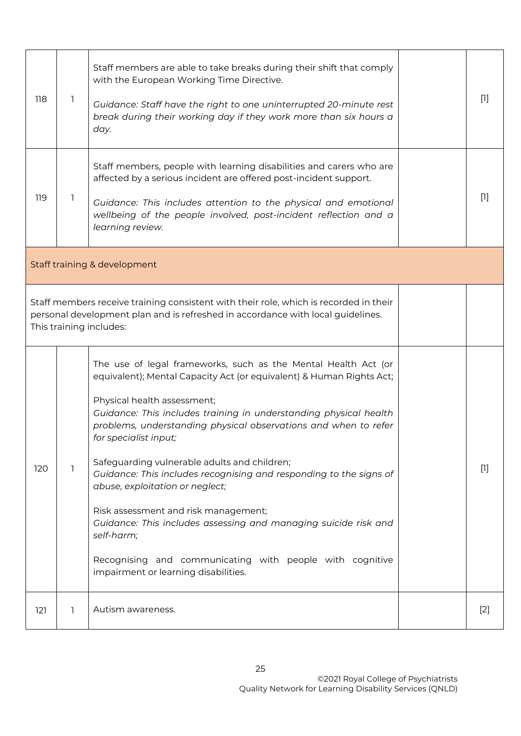| 118                                                                                                                                                                                                 | $\mathbf{1}$ | Staff members are able to take breaks during their shift that comply<br>with the European Working Time Directive.<br>Guidance: Staff have the right to one uninterrupted 20-minute rest<br>break during their working day if they work more than six hours a<br>day.                                                                                                                                                                                                                                                                                                                                                                                                                                                         |  | $[1]$ |  |
|-----------------------------------------------------------------------------------------------------------------------------------------------------------------------------------------------------|--------------|------------------------------------------------------------------------------------------------------------------------------------------------------------------------------------------------------------------------------------------------------------------------------------------------------------------------------------------------------------------------------------------------------------------------------------------------------------------------------------------------------------------------------------------------------------------------------------------------------------------------------------------------------------------------------------------------------------------------------|--|-------|--|
| 119                                                                                                                                                                                                 | $\mathbf{1}$ | Staff members, people with learning disabilities and carers who are<br>affected by a serious incident are offered post-incident support.<br>Guidance: This includes attention to the physical and emotional<br>wellbeing of the people involved, post-incident reflection and a<br>learning review.                                                                                                                                                                                                                                                                                                                                                                                                                          |  | $[1]$ |  |
| Staff training & development                                                                                                                                                                        |              |                                                                                                                                                                                                                                                                                                                                                                                                                                                                                                                                                                                                                                                                                                                              |  |       |  |
| Staff members receive training consistent with their role, which is recorded in their<br>personal development plan and is refreshed in accordance with local guidelines.<br>This training includes: |              |                                                                                                                                                                                                                                                                                                                                                                                                                                                                                                                                                                                                                                                                                                                              |  |       |  |
| 120                                                                                                                                                                                                 | 1            | The use of legal frameworks, such as the Mental Health Act (or<br>equivalent); Mental Capacity Act (or equivalent) & Human Rights Act;<br>Physical health assessment;<br>Guidance: This includes training in understanding physical health<br>problems, understanding physical observations and when to refer<br>for specialist input;<br>Safeguarding vulnerable adults and children;<br>Guidance: This includes recognising and responding to the signs of<br>abuse, exploitation or neglect;<br>Risk assessment and risk management;<br>Guidance: This includes assessing and managing suicide risk and<br>self-harm;<br>Recognising and communicating with people with cognitive<br>impairment or learning disabilities. |  | $[1]$ |  |
| 121                                                                                                                                                                                                 | 1            | Autism awareness.                                                                                                                                                                                                                                                                                                                                                                                                                                                                                                                                                                                                                                                                                                            |  | $[2]$ |  |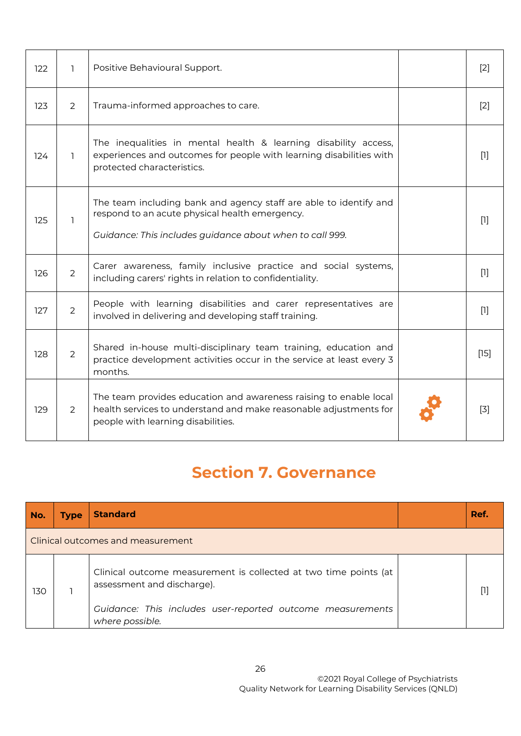| 122 | 1.             | Positive Behavioural Support.                                                                                                                                                   | $\lceil 2 \rceil$ |
|-----|----------------|---------------------------------------------------------------------------------------------------------------------------------------------------------------------------------|-------------------|
| 123 | $\overline{2}$ | Trauma-informed approaches to care.                                                                                                                                             | $[2]$             |
| 124 | 1.             | The inequalities in mental health & learning disability access,<br>experiences and outcomes for people with learning disabilities with<br>protected characteristics.            | $[1]$             |
| 125 | $\mathbf{1}$   | The team including bank and agency staff are able to identify and<br>respond to an acute physical health emergency.<br>Guidance: This includes guidance about when to call 999. | $[1]$             |
| 126 | $\overline{2}$ | Carer awareness, family inclusive practice and social systems,<br>including carers' rights in relation to confidentiality.                                                      | $[1]$             |
| 127 | 2              | People with learning disabilities and carer representatives are<br>involved in delivering and developing staff training.                                                        | $[1]$             |
| 128 | $\overline{2}$ | Shared in-house multi-disciplinary team training, education and<br>practice development activities occur in the service at least every 3<br>months.                             | [15]              |
| 129 | $\mathcal{P}$  | The team provides education and awareness raising to enable local<br>health services to understand and make reasonable adjustments for<br>people with learning disabilities.    | $\lceil 3 \rceil$ |

## **Section 7. Governance**

<span id="page-25-0"></span>

| No.                               | <b>Type</b> | <b>Standard</b>                                                                                |  | Ref. |  |  |
|-----------------------------------|-------------|------------------------------------------------------------------------------------------------|--|------|--|--|
| Clinical outcomes and measurement |             |                                                                                                |  |      |  |  |
| 130                               |             | Clinical outcome measurement is collected at two time points (at<br>assessment and discharge). |  |      |  |  |
|                                   |             | Guidance: This includes user-reported outcome measurements<br>where possible.                  |  |      |  |  |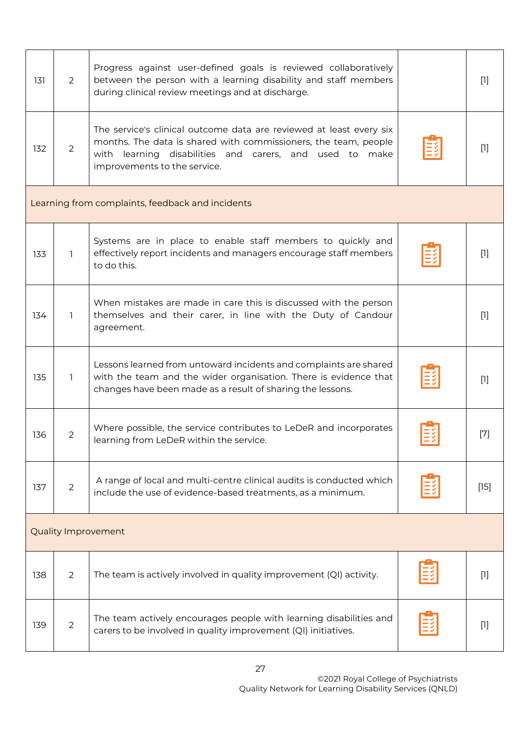<span id="page-26-0"></span>

| 131                                              | 2              | Progress against user-defined goals is reviewed collaboratively<br>between the person with a learning disability and staff members<br>during clinical review meetings and at discharge.                                              |  | $[1]$ |  |  |  |
|--------------------------------------------------|----------------|--------------------------------------------------------------------------------------------------------------------------------------------------------------------------------------------------------------------------------------|--|-------|--|--|--|
| 132                                              | $\overline{2}$ | The service's clinical outcome data are reviewed at least every six<br>months. The data is shared with commissioners, the team, people<br>with learning disabilities and carers, and used to<br>make<br>improvements to the service. |  | $[1]$ |  |  |  |
| Learning from complaints, feedback and incidents |                |                                                                                                                                                                                                                                      |  |       |  |  |  |
| 133                                              | ı              | Systems are in place to enable staff members to quickly and<br>effectively report incidents and managers encourage staff members<br>to do this.                                                                                      |  | $[1]$ |  |  |  |
| 134                                              | 1.             | When mistakes are made in care this is discussed with the person<br>themselves and their carer, in line with the Duty of Candour<br>agreement.                                                                                       |  | $[1]$ |  |  |  |
| 135                                              | 1              | Lessons learned from untoward incidents and complaints are shared<br>with the team and the wider organisation. There is evidence that<br>changes have been made as a result of sharing the lessons.                                  |  | $[1]$ |  |  |  |
| 136                                              | $\mathbf{2}$   | Where possible, the service contributes to LeDeR and incorporates<br>learning from LeDeR within the service.                                                                                                                         |  | $[7]$ |  |  |  |
| 137                                              | $\overline{2}$ | A range of local and multi-centre clinical audits is conducted which<br>include the use of evidence-based treatments, as a minimum.                                                                                                  |  | [15]  |  |  |  |
| <b>Quality Improvement</b>                       |                |                                                                                                                                                                                                                                      |  |       |  |  |  |
| 138                                              | $\overline{2}$ | The team is actively involved in quality improvement (QI) activity.                                                                                                                                                                  |  | $[1]$ |  |  |  |
| 139                                              | $\overline{2}$ | The team actively encourages people with learning disabilities and<br>carers to be involved in quality improvement (QI) initiatives.                                                                                                 |  | $[1]$ |  |  |  |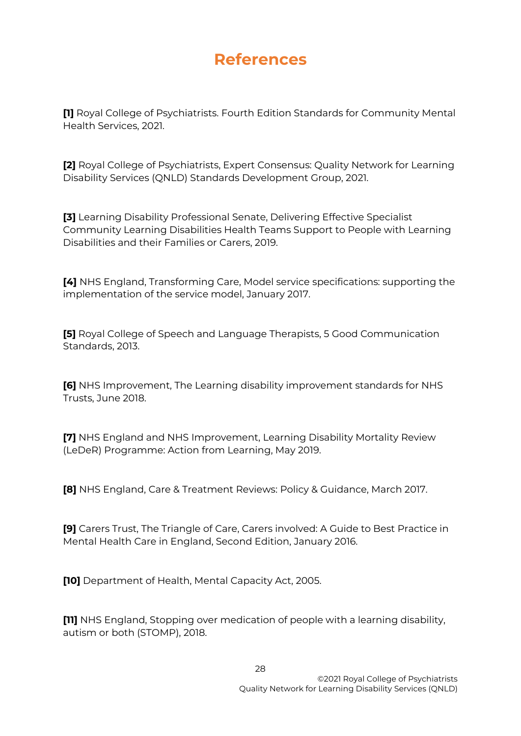### **References**

**[1]** Royal College of Psychiatrists. Fourth Edition Standards for Community Mental Health Services, 2021.

**[2]** Royal College of Psychiatrists, Expert Consensus: Quality Network for Learning Disability Services (QNLD) Standards Development Group, 2021.

**[3]** Learning Disability Professional Senate, Delivering Effective Specialist Community Learning Disabilities Health Teams Support to People with Learning Disabilities and their Families or Carers, 2019.

**[4]** NHS England, Transforming Care, Model service specifications: supporting the implementation of the service model, January 2017.

**[5]** Royal College of Speech and Language Therapists, 5 Good Communication Standards, 2013.

**[6]** NHS Improvement, The Learning disability improvement standards for NHS Trusts, June 2018.

**[7]** NHS England and NHS Improvement, Learning Disability Mortality Review (LeDeR) Programme: Action from Learning, May 2019.

**[8]** NHS England, Care & Treatment Reviews: Policy & Guidance, March 2017.

**[9]** Carers Trust, The Triangle of Care, Carers involved: A Guide to Best Practice in Mental Health Care in England, Second Edition, January 2016.

**[10]** Department of Health, Mental Capacity Act, 2005.

**[11]** NHS England, Stopping over medication of people with a learning disability, autism or both (STOMP), 2018.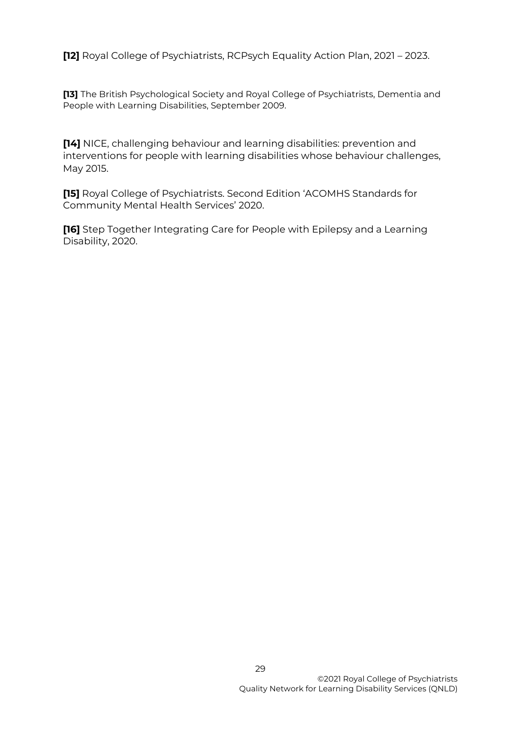**[12]** Royal College of Psychiatrists, RCPsych Equality Action Plan, 2021 – 2023.

**[13]** The British Psychological Society and Royal College of Psychiatrists, Dementia and People with Learning Disabilities, September 2009.

**[14]** NICE, challenging behaviour and learning disabilities: prevention and interventions for people with learning disabilities whose behaviour challenges, May 2015.

**[15]** Royal College of Psychiatrists. Second Edition 'ACOMHS Standards for Community Mental Health Services' 2020.

**[16]** Step Together Integrating Care for People with Epilepsy and a Learning Disability, 2020.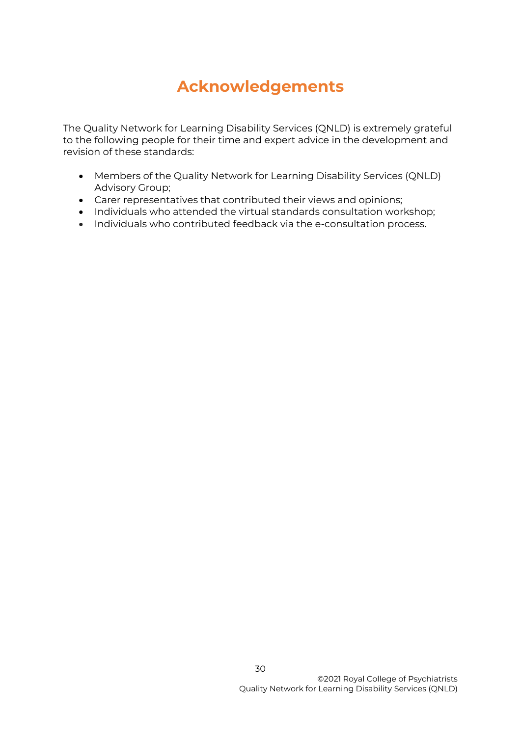## **Acknowledgements**

<span id="page-29-0"></span>The Quality Network for Learning Disability Services (QNLD) is extremely grateful to the following people for their time and expert advice in the development and revision of these standards:

- Members of the Quality Network for Learning Disability Services (QNLD) Advisory Group;
- Carer representatives that contributed their views and opinions;
- Individuals who attended the virtual standards consultation workshop;
- Individuals who contributed feedback via the e-consultation process.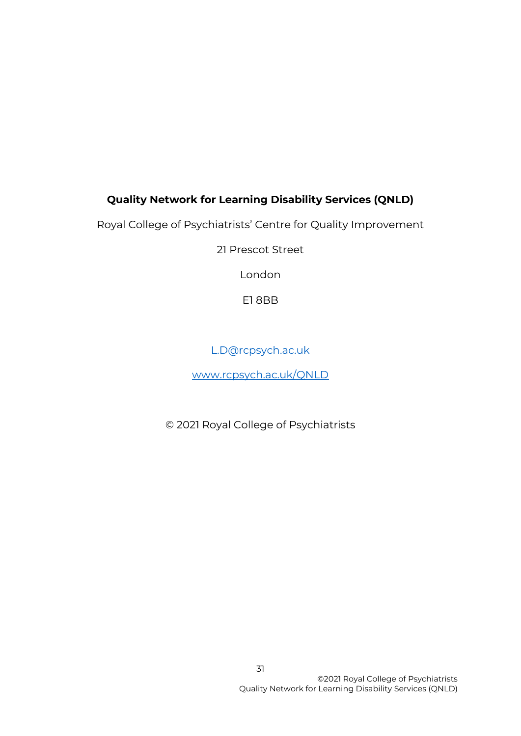### **Quality Network for Learning Disability Services (QNLD)**

Royal College of Psychiatrists' Centre for Quality Improvement

21 Prescot Street

London

E1 8BB

[L.D@rcpsych.ac.uk](mailto:L.D@rcpsych.ac.uk)

[www.rcpsych.ac.uk/QNLD](http://www.rcpsych.ac.uk/QNLD)

© 2021 Royal College of Psychiatrists